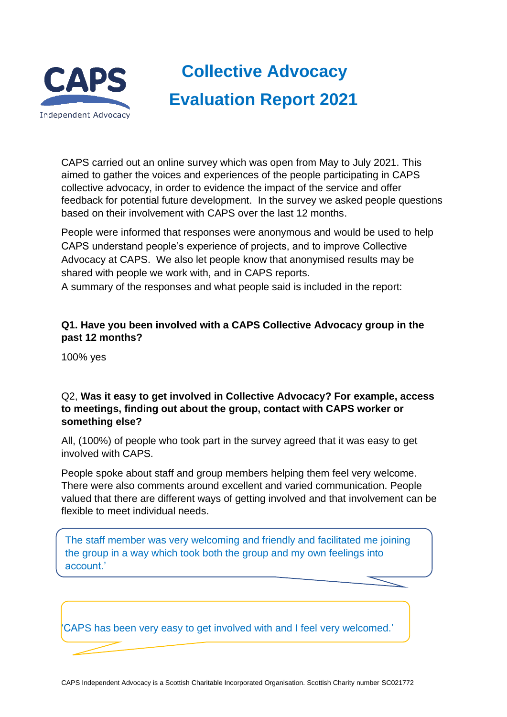

# **Collective Advocacy Evaluation Report 2021**

CAPS carried out an online survey which was open from May to July 2021. This aimed to gather the voices and experiences of the people participating in CAPS collective advocacy, in order to evidence the impact of the service and offer feedback for potential future development. In the survey we asked people questions based on their involvement with CAPS over the last 12 months.

People were informed that responses were anonymous and would be used to help CAPS understand people's experience of projects, and to improve Collective Advocacy at CAPS. We also let people know that anonymised results may be shared with people we work with, and in CAPS reports. A summary of the responses and what people said is included in the report:

## **Q1. Have you been involved with a CAPS Collective Advocacy group in the past 12 months?**

100% yes

## Q2, **Was it easy to get involved in Collective Advocacy? For example, access to meetings, finding out about the group, contact with CAPS worker or something else?**

All, (100%) of people who took part in the survey agreed that it was easy to get involved with CAPS.

People spoke about staff and group members helping them feel very welcome. There were also comments around excellent and varied communication. People valued that there are different ways of getting involved and that involvement can be flexible to meet individual needs.

The staff member was very welcoming and friendly and facilitated me joining the group in a way which took both the group and my own feelings into account.'

'CAPS has been very easy to get involved with and I feel very welcomed.'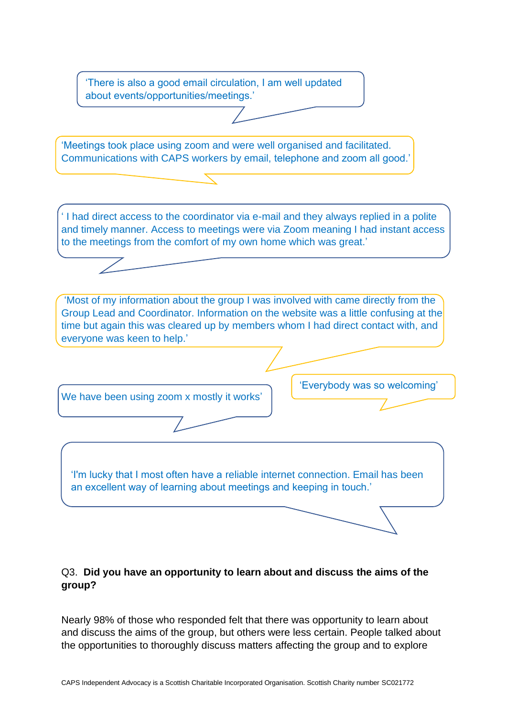'There is also a good email circulation, I am well updated about events/opportunities/meetings.'

'Meetings took place using zoom and were well organised and facilitated. Communications with CAPS workers by email, telephone and zoom all good.'

' I had direct access to the coordinator via e-mail and they always replied in a polite and timely manner. Access to meetings were via Zoom meaning I had instant access to the meetings from the comfort of my own home which was great.'

'Most of my information about the group I was involved with came directly from the Group Lead and Coordinator. Information on the website was a little confusing at the time but again this was cleared up by members whom I had direct contact with, and everyone was keen to help.'

We have been using zoom x mostly it works'

'Everybody was so welcoming'

'I'm lucky that I most often have a reliable internet connection. Email has been an excellent way of learning about meetings and keeping in touch.'

## Q3. **Did you have an opportunity to learn about and discuss the aims of the group?**

Nearly 98% of those who responded felt that there was opportunity to learn about and discuss the aims of the group, but others were less certain. People talked about the opportunities to thoroughly discuss matters affecting the group and to explore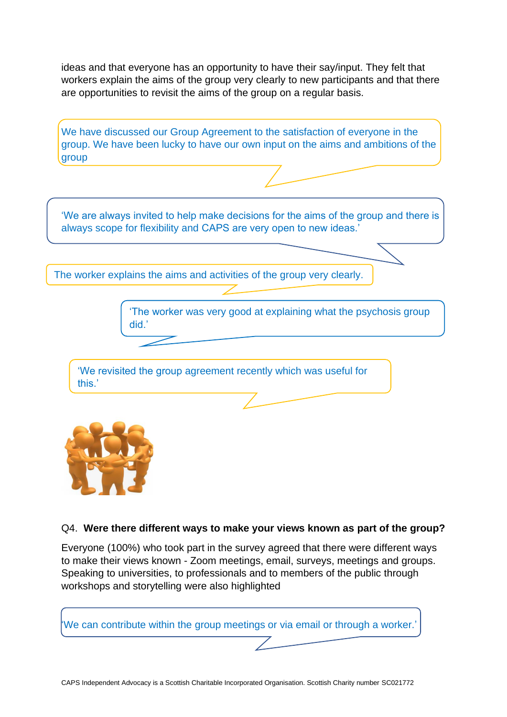ideas and that everyone has an opportunity to have their say/input. They felt that workers explain the aims of the group very clearly to new participants and that there are opportunities to revisit the aims of the group on a regular basis.

We have discussed our Group Agreement to the satisfaction of everyone in the group. We have been lucky to have our own input on the aims and ambitions of the h group

'We are always invited to help make decisions for the aims of the group and there is always scope for flexibility and CAPS are very open to new ideas.'

The worker explains the aims and activities of the group very clearly.

'The worker was very good at explaining what the psychosis group did.'

'We revisited the group agreement recently which was useful for this.'



### Q4. **Were there different ways to make your views known as part of the group?**

Everyone (100%) who took part in the survey agreed that there were different ways to make their views known - Zoom meetings, email, surveys, meetings and groups. Speaking to universities, to professionals and to members of the public through workshops and storytelling were also highlighted

'We can contribute within the group meetings or via email or through a worker.'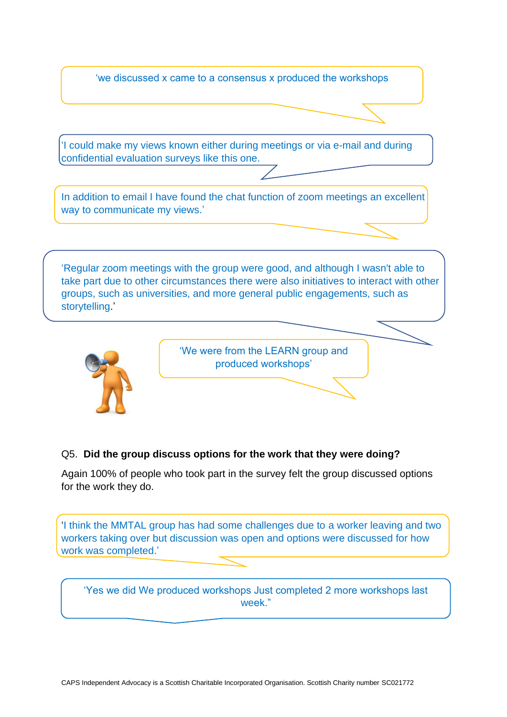'we discussed x came to a consensus x produced the workshops

'I could make my views known either during meetings or via e-mail and during confidential evaluation surveys like this one.

In addition to email I have found the chat function of zoom meetings an excellent way to communicate my views.'

'Regular zoom meetings with the group were good, and although I wasn't able to take part due to other circumstances there were also initiatives to interact with other groups, such as universities, and more general public engagements, such as storytelling.'



'We were from the LEARN group and produced workshops'

### Q5. **Did the group discuss options for the work that they were doing?**

Again 100% of people who took part in the survey felt the group discussed options for the work they do.

'I think the MMTAL group has had some challenges due to a worker leaving and two workers taking over but discussion was open and options were discussed for how work was completed.'

'Yes we did We produced workshops Just completed 2 more workshops last week."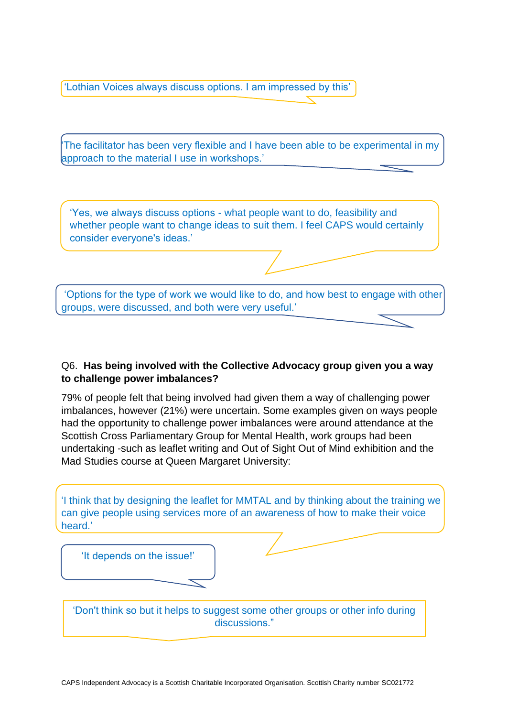'Lothian Voices always discuss options. I am impressed by this'

'The facilitator has been very flexible and I have been able to be experimental in my approach to the material I use in workshops.'

'Yes, we always discuss options - what people want to do, feasibility and whether people want to change ideas to suit them. I feel CAPS would certainly consider everyone's ideas.'

'Options for the type of work we would like to do, and how best to engage with other groups, were discussed, and both were very useful.'

## Q6. **Has being involved with the Collective Advocacy group given you a way to challenge power imbalances?**

79% of people felt that being involved had given them a way of challenging power imbalances, however (21%) were uncertain. Some examples given on ways people had the opportunity to challenge power imbalances were around attendance at the Scottish Cross Parliamentary Group for Mental Health, work groups had been undertaking -such as leaflet writing and Out of Sight Out of Mind exhibition and the Mad Studies course at Queen Margaret University:

'I think that by designing the leaflet for MMTAL and by thinking about the training we can give people using services more of an awareness of how to make their voice heard.'

'It depends on the issue!'

'Don't think so but it helps to suggest some other groups or other info during discussions."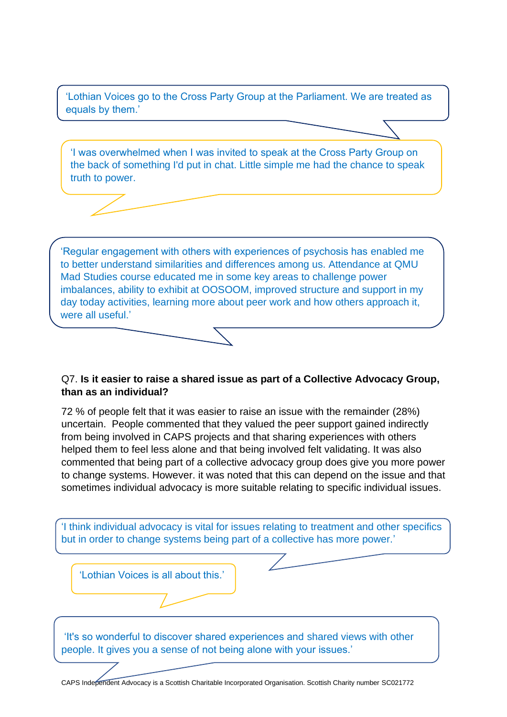'Lothian Voices go to the Cross Party Group at the Parliament. We are treated as equals by them.'

'I was overwhelmed when I was invited to speak at the Cross Party Group on the back of something I'd put in chat. Little simple me had the chance to speak truth to power.

'Regular engagement with others with experiences of psychosis has enabled me to better understand similarities and differences among us. Attendance at QMU Mad Studies course educated me in some key areas to challenge power imbalances, ability to exhibit at OOSOOM, improved structure and support in my day today activities, learning more about peer work and how others approach it, were all useful.'

## Q7. **Is it easier to raise a shared issue as part of a Collective Advocacy Group, than as an individual?**

72 % of people felt that it was easier to raise an issue with the remainder (28%) uncertain. People commented that they valued the peer support gained indirectly from being involved in CAPS projects and that sharing experiences with others helped them to feel less alone and that being involved felt validating. It was also commented that being part of a collective advocacy group does give you more power to change systems. However. it was noted that this can depend on the issue and that sometimes individual advocacy is more suitable relating to specific individual issues.

'I think individual advocacy is vital for issues relating to treatment and other specifics but in order to change systems being part of a collective has more power.'

'Lothian Voices is all about this.'

'It's so wonderful to discover shared experiences and shared views with other people. It gives you a sense of not being alone with your issues.'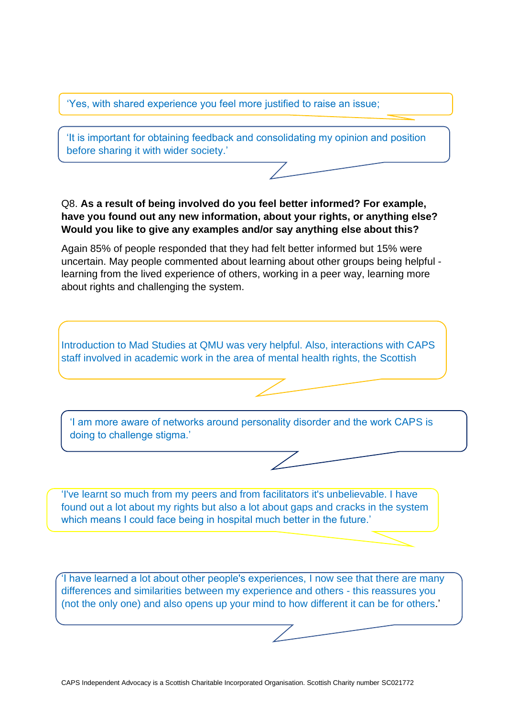'Yes, with shared experience you feel more justified to raise an issue;

'It is important for obtaining feedback and consolidating my opinion and position before sharing it with wider society.'

Q8. **As a result of being involved do you feel better informed? For example, have you found out any new information, about your rights, or anything else? Would you like to give any examples and/or say anything else about this?**

Again 85% of people responded that they had felt better informed but 15% were uncertain. May people commented about learning about other groups being helpful learning from the lived experience of others, working in a peer way, learning more about rights and challenging the system.

Introduction to Mad Studies at QMU was very helpful. Also, interactions with CAPS staff involved in academic work in the area of mental health rights, the Scottish

'I am more aware of networks around personality disorder and the work CAPS is doing to challenge stigma.'

'I've learnt so much from my peers and from facilitators it's unbelievable. I have found out a lot about my rights but also a lot about gaps and cracks in the system which means I could face being in hospital much better in the future.'

'I have learned a lot about other people's experiences, I now see that there are many differences and similarities between my experience and others - this reassures you (not the only one) and also opens up your mind to how different it can be for others.'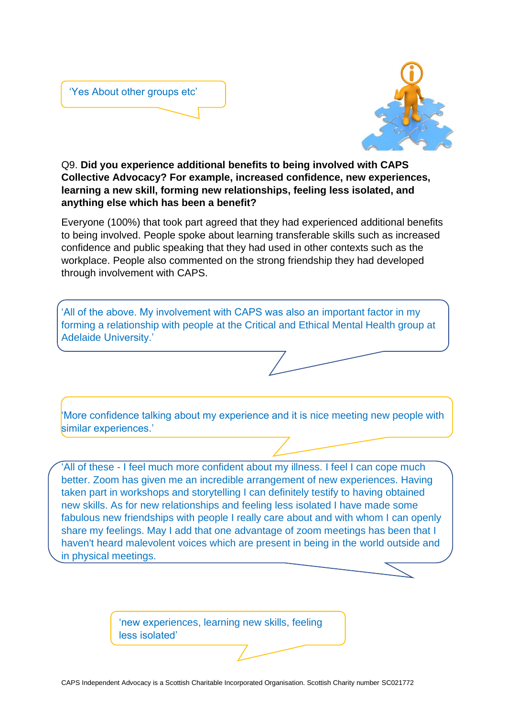



Q9. **Did you experience additional benefits to being involved with CAPS Collective Advocacy? For example, increased confidence, new experiences, learning a new skill, forming new relationships, feeling less isolated, and anything else which has been a benefit?**

Everyone (100%) that took part agreed that they had experienced additional benefits to being involved. People spoke about learning transferable skills such as increased confidence and public speaking that they had used in other contexts such as the workplace. People also commented on the strong friendship they had developed through involvement with CAPS.

'All of the above. My involvement with CAPS was also an important factor in my forming a relationship with people at the Critical and Ethical Mental Health group at Adelaide University.'

'More confidence talking about my experience and it is nice meeting new people with similar experiences.'

'All of these - I feel much more confident about my illness. I feel I can cope much better. Zoom has given me an incredible arrangement of new experiences. Having taken part in workshops and storytelling I can definitely testify to having obtained new skills. As for new relationships and feeling less isolated I have made some fabulous new friendships with people I really care about and with whom I can openly share my feelings. May I add that one advantage of zoom meetings has been that I haven't heard malevolent voices which are present in being in the world outside and in physical meetings.

> 'new experiences, learning new skills, feeling less isolated'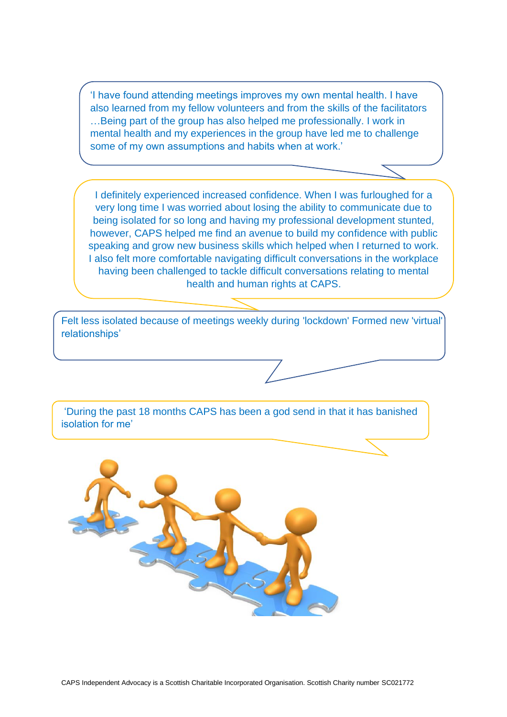'I have found attending meetings improves my own mental health. I have also learned from my fellow volunteers and from the skills of the facilitators …Being part of the group has also helped me professionally. I work in mental health and my experiences in the group have led me to challenge some of my own assumptions and habits when at work.'

I definitely experienced increased confidence. When I was furloughed for a very long time I was worried about losing the ability to communicate due to being isolated for so long and having my professional development stunted, however, CAPS helped me find an avenue to build my confidence with public speaking and grow new business skills which helped when I returned to work. I also felt more comfortable navigating difficult conversations in the workplace having been challenged to tackle difficult conversations relating to mental health and human rights at CAPS.

Felt less isolated because of meetings weekly during 'lockdown' Formed new 'virtual' relationships'

'During the past 18 months CAPS has been a god send in that it has banished isolation for me'

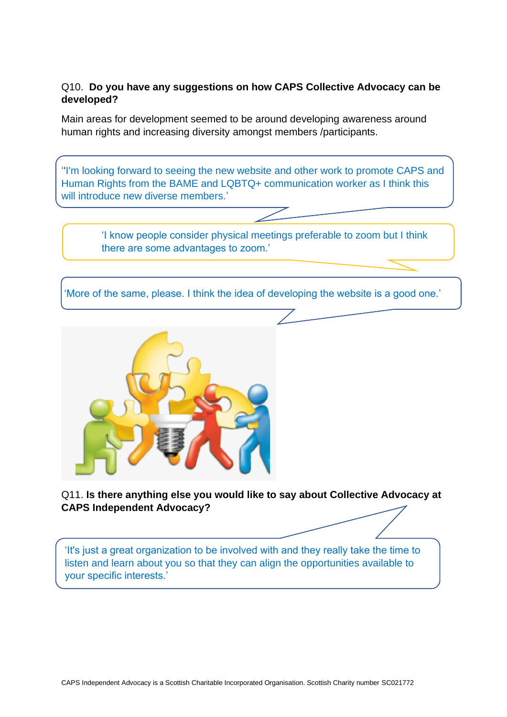## Q10. **Do you have any suggestions on how CAPS Collective Advocacy can be developed?**

Main areas for development seemed to be around developing awareness around human rights and increasing diversity amongst members /participants.

''I'm looking forward to seeing the new website and other work to promote CAPS and Human Rights from the BAME and LQBTQ+ communication worker as I think this will introduce new diverse members.'

> 'I know people consider physical meetings preferable to zoom but I think there are some advantages to zoom.'

'More of the same, please. I think the idea of developing the website is a good one.'



Q11. **Is there anything else you would like to say about Collective Advocacy at CAPS Independent Advocacy?**

'It's just a great organization to be involved with and they really take the time to listen and learn about you so that they can align the opportunities available to your specific interests.'